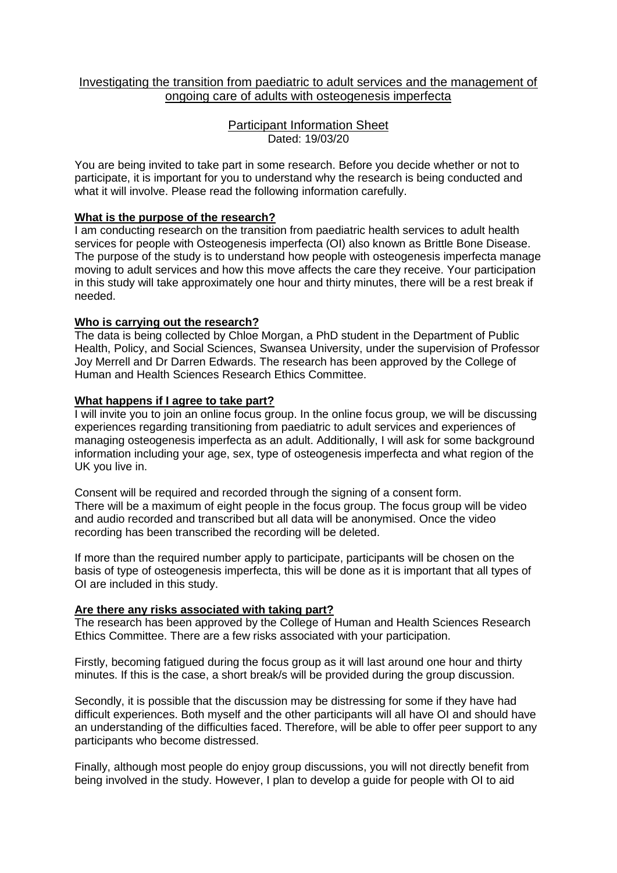# Investigating the transition from paediatric to adult services and the management of ongoing care of adults with osteogenesis imperfecta

## Participant Information Sheet Dated: 19/03/20

You are being invited to take part in some research. Before you decide whether or not to participate, it is important for you to understand why the research is being conducted and what it will involve. Please read the following information carefully.

# **What is the purpose of the research?**

I am conducting research on the transition from paediatric health services to adult health services for people with Osteogenesis imperfecta (OI) also known as Brittle Bone Disease. The purpose of the study is to understand how people with osteogenesis imperfecta manage moving to adult services and how this move affects the care they receive. Your participation in this study will take approximately one hour and thirty minutes, there will be a rest break if needed.

## **Who is carrying out the research?**

The data is being collected by Chloe Morgan, a PhD student in the Department of Public Health, Policy, and Social Sciences, Swansea University, under the supervision of Professor Joy Merrell and Dr Darren Edwards. The research has been approved by the College of Human and Health Sciences Research Ethics Committee.

# **What happens if I agree to take part?**

I will invite you to join an online focus group. In the online focus group, we will be discussing experiences regarding transitioning from paediatric to adult services and experiences of managing osteogenesis imperfecta as an adult. Additionally, I will ask for some background information including your age, sex, type of osteogenesis imperfecta and what region of the UK you live in.

Consent will be required and recorded through the signing of a consent form. There will be a maximum of eight people in the focus group. The focus group will be video and audio recorded and transcribed but all data will be anonymised. Once the video recording has been transcribed the recording will be deleted.

If more than the required number apply to participate, participants will be chosen on the basis of type of osteogenesis imperfecta, this will be done as it is important that all types of OI are included in this study.

## **Are there any risks associated with taking part?**

The research has been approved by the College of Human and Health Sciences Research Ethics Committee. There are a few risks associated with your participation.

Firstly, becoming fatigued during the focus group as it will last around one hour and thirty minutes. If this is the case, a short break/s will be provided during the group discussion.

Secondly, it is possible that the discussion may be distressing for some if they have had difficult experiences. Both myself and the other participants will all have OI and should have an understanding of the difficulties faced. Therefore, will be able to offer peer support to any participants who become distressed.

Finally, although most people do enjoy group discussions, you will not directly benefit from being involved in the study. However, I plan to develop a guide for people with OI to aid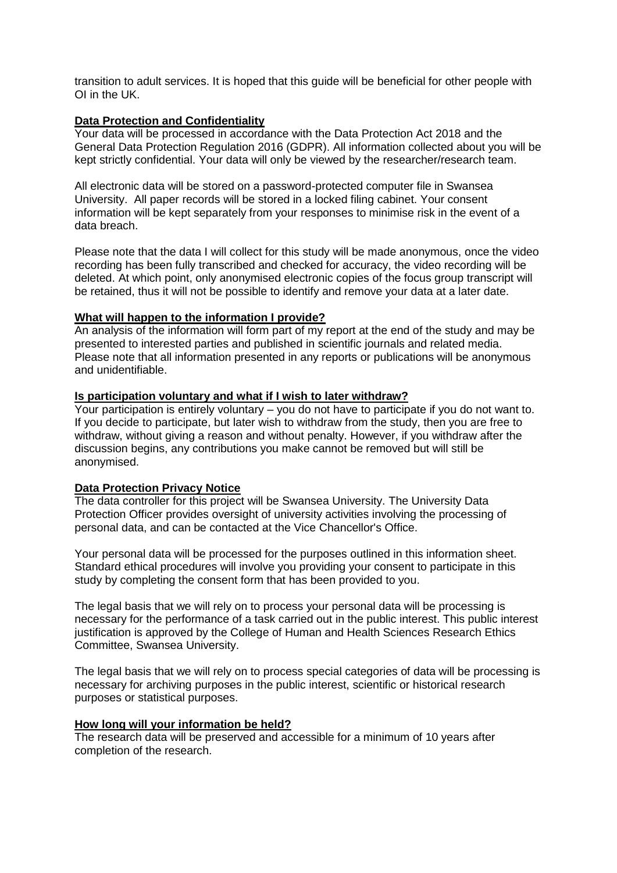transition to adult services. It is hoped that this guide will be beneficial for other people with OI in the UK.

### **Data Protection and Confidentiality**

Your data will be processed in accordance with the Data Protection Act 2018 and the General Data Protection Regulation 2016 (GDPR). All information collected about you will be kept strictly confidential. Your data will only be viewed by the researcher/research team.

All electronic data will be stored on a password-protected computer file in Swansea University. All paper records will be stored in a locked filing cabinet. Your consent information will be kept separately from your responses to minimise risk in the event of a data breach.

Please note that the data I will collect for this study will be made anonymous, once the video recording has been fully transcribed and checked for accuracy, the video recording will be deleted. At which point, only anonymised electronic copies of the focus group transcript will be retained, thus it will not be possible to identify and remove your data at a later date.

#### **What will happen to the information I provide?**

An analysis of the information will form part of my report at the end of the study and may be presented to interested parties and published in scientific journals and related media. Please note that all information presented in any reports or publications will be anonymous and unidentifiable.

#### **Is participation voluntary and what if I wish to later withdraw?**

Your participation is entirely voluntary – you do not have to participate if you do not want to. If you decide to participate, but later wish to withdraw from the study, then you are free to withdraw, without giving a reason and without penalty. However, if you withdraw after the discussion begins, any contributions you make cannot be removed but will still be anonymised.

## **Data Protection Privacy Notice**

The data controller for this project will be Swansea University. The University Data Protection Officer provides oversight of university activities involving the processing of personal data, and can be contacted at the Vice Chancellor's Office.

Your personal data will be processed for the purposes outlined in this information sheet. Standard ethical procedures will involve you providing your consent to participate in this study by completing the consent form that has been provided to you.

The legal basis that we will rely on to process your personal data will be processing is necessary for the performance of a task carried out in the public interest. This public interest justification is approved by the College of Human and Health Sciences Research Ethics Committee, Swansea University.

The legal basis that we will rely on to process special categories of data will be processing is necessary for archiving purposes in the public interest, scientific or historical research purposes or statistical purposes.

## **How long will your information be held?**

The research data will be preserved and accessible for a minimum of 10 years after completion of the research.